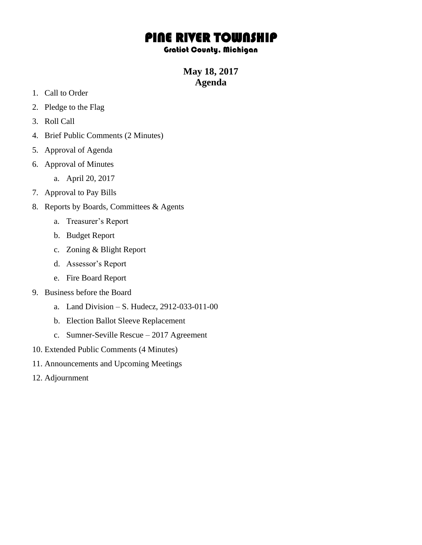## PINE RIVER TOWNSHIP

## Gratiot County, Michigan

**May 18, 2017 Agenda**

- 1. Call to Order
- 2. Pledge to the Flag
- 3. Roll Call
- 4. Brief Public Comments (2 Minutes)
- 5. Approval of Agenda
- 6. Approval of Minutes
	- a. April 20, 2017
- 7. Approval to Pay Bills
- 8. Reports by Boards, Committees & Agents
	- a. Treasurer's Report
	- b. Budget Report
	- c. Zoning & Blight Report
	- d. Assessor's Report
	- e. Fire Board Report
- 9. Business before the Board
	- a. Land Division S. Hudecz, 2912-033-011-00
	- b. Election Ballot Sleeve Replacement
	- c. Sumner-Seville Rescue 2017 Agreement
- 10. Extended Public Comments (4 Minutes)
- 11. Announcements and Upcoming Meetings
- 12. Adjournment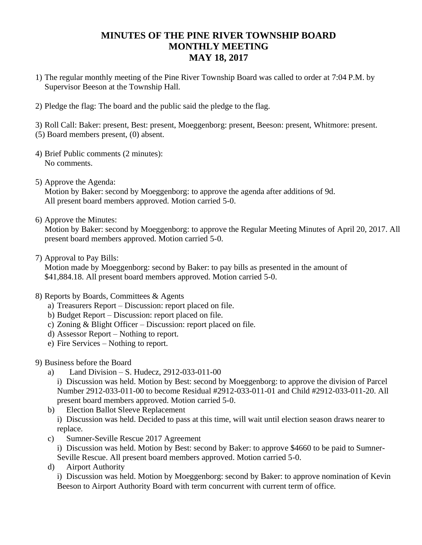## **MINUTES OF THE PINE RIVER TOWNSHIP BOARD MONTHLY MEETING MAY 18, 2017**

- 1) The regular monthly meeting of the Pine River Township Board was called to order at 7:04 P.M. by Supervisor Beeson at the Township Hall.
- 2) Pledge the flag: The board and the public said the pledge to the flag.

3) Roll Call: Baker: present, Best: present, Moeggenborg: present, Beeson: present, Whitmore: present. (5) Board members present, (0) absent.

- 4) Brief Public comments (2 minutes): No comments.
- 5) Approve the Agenda: Motion by Baker: second by Moeggenborg: to approve the agenda after additions of 9d. All present board members approved. Motion carried 5-0.
- 6) Approve the Minutes:

Motion by Baker: second by Moeggenborg: to approve the Regular Meeting Minutes of April 20, 2017. All present board members approved. Motion carried 5-0.

7) Approval to Pay Bills:

Motion made by Moeggenborg: second by Baker: to pay bills as presented in the amount of \$41,884.18. All present board members approved. Motion carried 5-0.

- 8) Reports by Boards, Committees & Agents
	- a) Treasurers Report Discussion: report placed on file.
	- b) Budget Report Discussion: report placed on file.
	- c) Zoning & Blight Officer Discussion: report placed on file.
	- d) Assessor Report Nothing to report.
	- e) Fire Services Nothing to report.
- 9) Business before the Board
	- a) Land Division S. Hudecz, 2912-033-011-00

i) Discussion was held. Motion by Best: second by Moeggenborg: to approve the division of Parcel Number 2912-033-011-00 to become Residual #2912-033-011-01 and Child #2912-033-011-20. All present board members approved. Motion carried 5-0.

b) Election Ballot Sleeve Replacement

i) Discussion was held. Decided to pass at this time, will wait until election season draws nearer to replace.

c) Sumner-Seville Rescue 2017 Agreement

i) Discussion was held. Motion by Best: second by Baker: to approve \$4660 to be paid to Sumner-Seville Rescue. All present board members approved. Motion carried 5-0.

d) Airport Authority

i) Discussion was held. Motion by Moeggenborg: second by Baker: to approve nomination of Kevin Beeson to Airport Authority Board with term concurrent with current term of office.